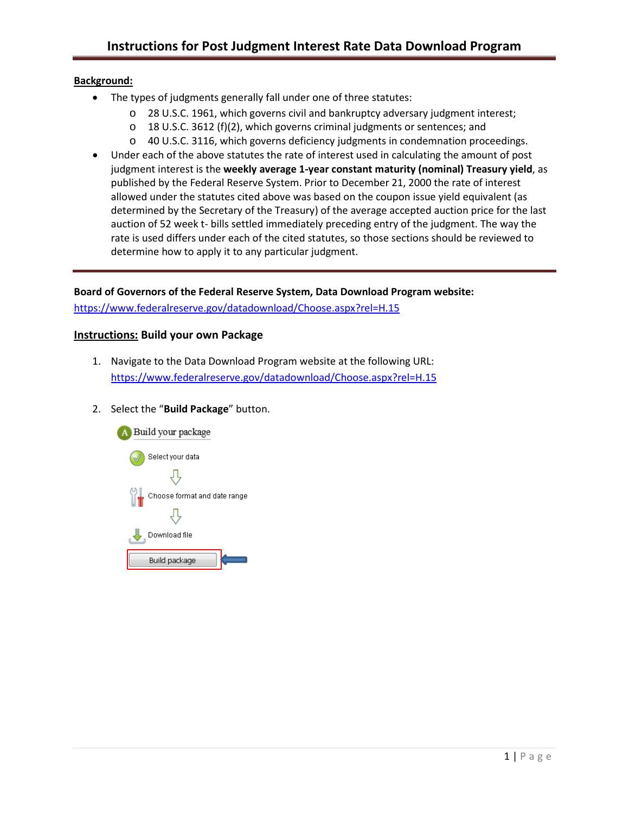## **Background:**

- The types of judgments generally fall under one of three statutes:
	- o [28 U.S.C. 1961,](http://www.uscourts.gov/services-forms/fees/post-judgement-interest-rate/28-usc-1961-post-judgment-interest-rates) which governs civil and bankruptcy adversary judgment interest;
	- o [18 U.S.C. 3612 \(f\)\(2\),](http://www.uscourts.gov/services-forms/fees/post-judgement-interest-rate/18-usca-ss-3612-post-judgment-interest-rates) which governs criminal judgments or sentences; and
	- o [40 U.S.C. 3116,](http://www.uscourts.gov/services-forms/fees/post-judgement-interest-rate/40-usc-3116-post-judgment-interest-rates) which governs deficiency judgments in condemnation proceedings.
- Under each of the above statutes the rate of interest used in calculating the amount of post judgment interest is the **weekly average 1-year constant maturity (nominal) Treasury yield**, as published by the Federal Reserve System. Prior to December 21, 2000 the rate of interest allowed under the statutes cited above was based on the coupon issue yield equivalent (as determined by the Secretary of the Treasury) of the average accepted auction price for the last auction of 52 week t- bills settled immediately preceding entry of the judgment. The way the rate is used differs under each of the cited statutes, so those sections should be reviewed to determine how to apply it to any particular judgment.

## **Board of Governors of the Federal Reserve System, Data Download Program website[:](https://www.federalreserve.gov/datadownload/Choose.aspx?rel=H.15)**

<https://www.federalreserve.gov/datadownload/Choose.aspx?rel=H.15>

## **Instructions: Build your own Package**

- 1. Navigate to the Data Download Program website at the following URL: <https://www.federalreserve.gov/datadownload/Choose.aspx?rel=H.15>
- 2. Select the "**Build Package**" button.

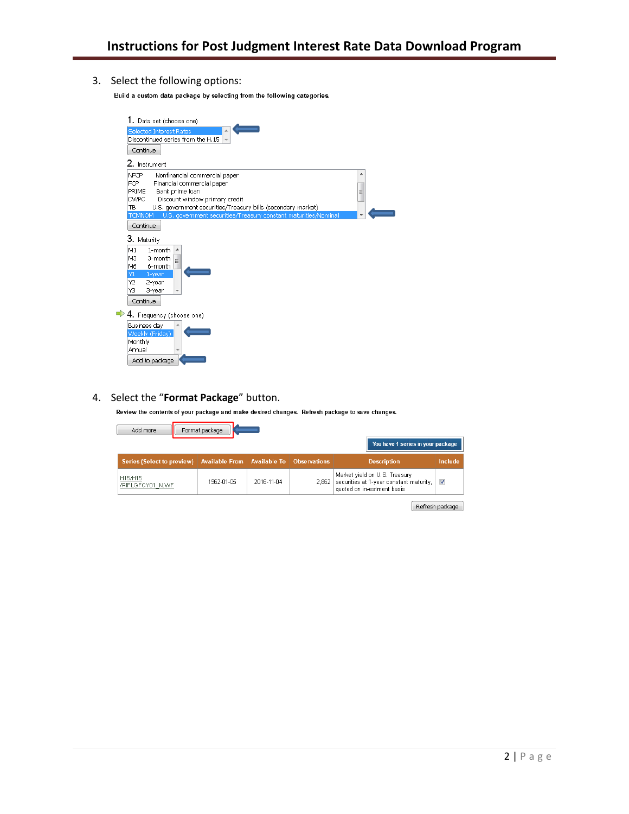3. Select the following options:

Build a custom data package by selecting from the following categories.

| 1. Data set (choose one)                                                         |  |  |  |  |  |  |
|----------------------------------------------------------------------------------|--|--|--|--|--|--|
| Selected Interest Rates                                                          |  |  |  |  |  |  |
| Discontinued series from the H.15                                                |  |  |  |  |  |  |
| Continue                                                                         |  |  |  |  |  |  |
| 2. Instrument                                                                    |  |  |  |  |  |  |
| Nonfinancial commercial paper<br><b>NFCP</b>                                     |  |  |  |  |  |  |
| Financial commercial paper<br>FCP -                                              |  |  |  |  |  |  |
| Bank prime loan<br>PRIME<br>Ξ                                                    |  |  |  |  |  |  |
| Discount window primary credit<br><b>DWPC</b>                                    |  |  |  |  |  |  |
| U.S. government securities/Treasury bills (secondary market)<br>TB               |  |  |  |  |  |  |
| U.S. government securities/Treasury constant maturities/Nominal<br><b>TCMNOM</b> |  |  |  |  |  |  |
| Continue                                                                         |  |  |  |  |  |  |
| 3. Maturity                                                                      |  |  |  |  |  |  |
| M1<br>1-month<br>▲                                                               |  |  |  |  |  |  |
| 3-month<br>M3<br>ä                                                               |  |  |  |  |  |  |
| M6<br>6-month                                                                    |  |  |  |  |  |  |
| 1-year<br>Y1                                                                     |  |  |  |  |  |  |
| Υ2<br>2-year                                                                     |  |  |  |  |  |  |
| YЗ<br>3-year                                                                     |  |  |  |  |  |  |
| Continue                                                                         |  |  |  |  |  |  |
| $\rightarrow$ 4. Frequency (choose one)                                          |  |  |  |  |  |  |
| Business day                                                                     |  |  |  |  |  |  |
| Weekly (Friday)                                                                  |  |  |  |  |  |  |
| Monthly                                                                          |  |  |  |  |  |  |
| Annual                                                                           |  |  |  |  |  |  |
| Add to package                                                                   |  |  |  |  |  |  |

#### 4. Select the "**Format Package**" button.

Review the contents of your package and make desired changes. Refresh package to save changes.

| Add more                          | Format package                               |            |       | You have 1 series in your package                                                                      |                |
|-----------------------------------|----------------------------------------------|------------|-------|--------------------------------------------------------------------------------------------------------|----------------|
| <b>Series (Select to preview)</b> | Available From   Available To   Observations |            |       | <b>Description</b>                                                                                     | <b>Include</b> |
| H15/H15<br>/RIFLGFCY01 N.WF       | 1962-01-05                                   | 2016-11-04 | 2,862 | Market yield on U.S. Treasury<br>securities at 1-year constant maturity,<br>quoted on investment basis | V              |

Refresh package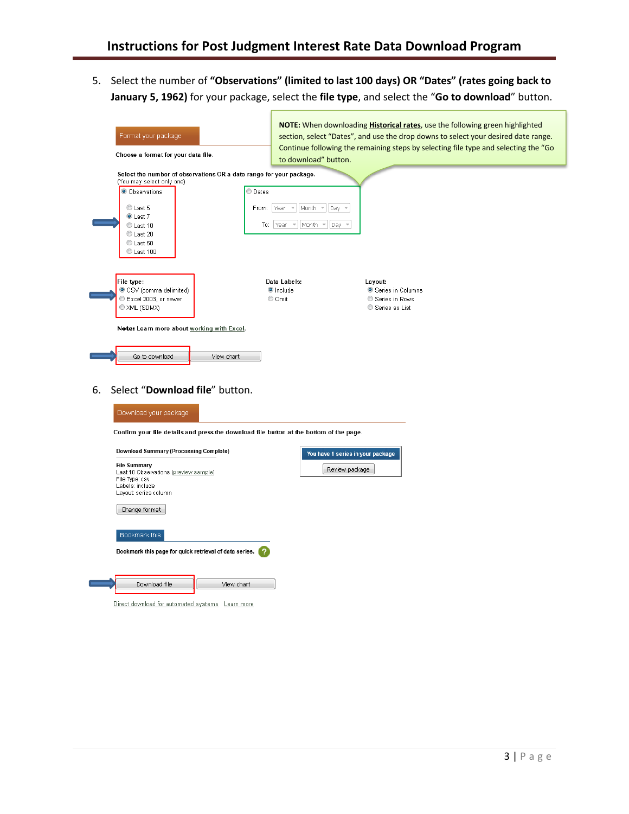5. Select the number of **"Observations" (limited to last 100 days) OR "Dates" (rates going back to January 5, 1962)** for your package, select the **file type**, and select the "**Go to download**" button.

| Format your package<br>Choose a format for your data file.<br>Select the number of observations OR a date range for your package.<br>(You may select only one)<br>O Observations<br>C Dates<br>C Last 5<br>From:<br>C Last 7<br>C Last 10<br>C Last 20<br>C Last 50<br>C Last 100                          | to download" button.<br>Month<br>Year<br>Day<br>$\overline{\nu}$<br>$\overline{\mathbf{v}}$<br>To: Year<br>Month $\tau$<br>Day | NOTE: When downloading <b>Historical rates</b> , use the following green highlighted<br>section, select "Dates", and use the drop downs to select your desired date range.<br>Continue following the remaining steps by selecting file type and selecting the "Go |  |  |  |  |
|------------------------------------------------------------------------------------------------------------------------------------------------------------------------------------------------------------------------------------------------------------------------------------------------------------|--------------------------------------------------------------------------------------------------------------------------------|-------------------------------------------------------------------------------------------------------------------------------------------------------------------------------------------------------------------------------------------------------------------|--|--|--|--|
| File type:<br>Data Labels:<br>Layout:<br>CSV (comma delimited)<br>O Include<br>Series in Columns<br>Excel 2003, or newer<br>© Omit<br>Series in Rows<br>XML (SDMX)<br>Series as List<br>Note: Learn more about working with Excel.<br>Go to download<br>View chart<br>Select "Download file" button.<br>6. |                                                                                                                                |                                                                                                                                                                                                                                                                   |  |  |  |  |
|                                                                                                                                                                                                                                                                                                            | Download your package<br>Confirm your file details and press the download file button at the bottom of the page.               |                                                                                                                                                                                                                                                                   |  |  |  |  |
| Download Summary (Processing Complete)<br>You have 1 series in your package<br><b>File Summary</b><br>Review package<br>Last 10 Observations (preview sample)<br>File Type: csv<br>Labels: include<br>Layout: series column<br>Change format                                                               |                                                                                                                                |                                                                                                                                                                                                                                                                   |  |  |  |  |
| Bookmark this<br>Bookmark this page for quick retrieval of data series.                                                                                                                                                                                                                                    |                                                                                                                                |                                                                                                                                                                                                                                                                   |  |  |  |  |
| Download file<br>View chart                                                                                                                                                                                                                                                                                |                                                                                                                                |                                                                                                                                                                                                                                                                   |  |  |  |  |

Direct download for automated systems Learn more